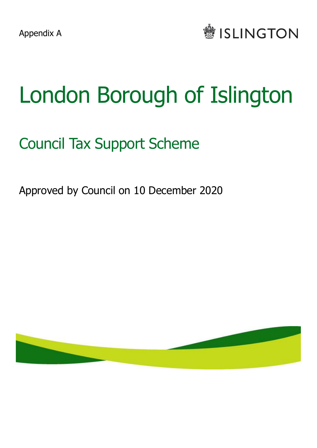

# London Borough of Islington

## Council Tax Support Scheme

Approved by Council on 10 December 2020

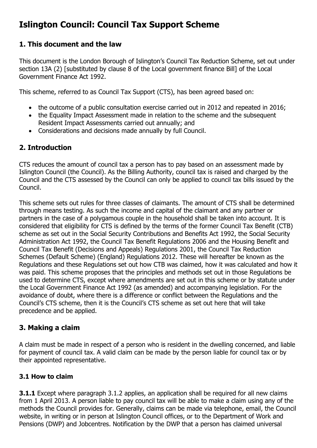### **Islington Council: Council Tax Support Scheme**

#### **1. This document and the law**

This document is the London Borough of Islington's Council Tax Reduction Scheme, set out under section 13A (2) [substituted by clause 8 of the Local government finance Bill] of the Local Government Finance Act 1992.

This scheme, referred to as Council Tax Support (CTS), has been agreed based on:

- the outcome of a public consultation exercise carried out in 2012 and repeated in 2016;
- the Equality Impact Assessment made in relation to the scheme and the subsequent Resident Impact Assessments carried out annually; and
- Considerations and decisions made annually by full Council.

#### **2. Introduction**

CTS reduces the amount of council tax a person has to pay based on an assessment made by Islington Council (the Council). As the Billing Authority, council tax is raised and charged by the Council and the CTS assessed by the Council can only be applied to council tax bills issued by the Council.

This scheme sets out rules for three classes of claimants. The amount of CTS shall be determined through means testing. As such the income and capital of the claimant and any partner or partners in the case of a polygamous couple in the household shall be taken into account. It is considered that eligibility for CTS is defined by the terms of the former Council Tax Benefit (CTB) scheme as set out in the Social Security Contributions and Benefits Act 1992, the Social Security Administration Act 1992, the Council Tax Benefit Regulations 2006 and the Housing Benefit and Council Tax Benefit (Decisions and Appeals) Regulations 2001, the Council Tax Reduction Schemes (Default Scheme) (England) Regulations 2012. These will hereafter be known as the Regulations and these Regulations set out how CTB was claimed, how it was calculated and how it was paid. This scheme proposes that the principles and methods set out in those Regulations be used to determine CTS, except where amendments are set out in this scheme or by statute under the Local Government Finance Act 1992 (as amended) and accompanying legislation. For the avoidance of doubt, where there is a difference or conflict between the Regulations and the Council's CTS scheme, then it is the Council's CTS scheme as set out here that will take precedence and be applied.

#### **3. Making a claim**

A claim must be made in respect of a person who is resident in the dwelling concerned, and liable for payment of council tax. A valid claim can be made by the person liable for council tax or by their appointed representative.

#### **3.1 How to claim**

**3.1.1** Except where paragraph 3.1.2 applies, an application shall be required for all new claims from 1 April 2013. A person liable to pay council tax will be able to make a claim using any of the methods the Council provides for. Generally, claims can be made via telephone, email, the Council website, in writing or in person at Islington Council offices, or to the Department of Work and Pensions (DWP) and Jobcentres. Notification by the DWP that a person has claimed universal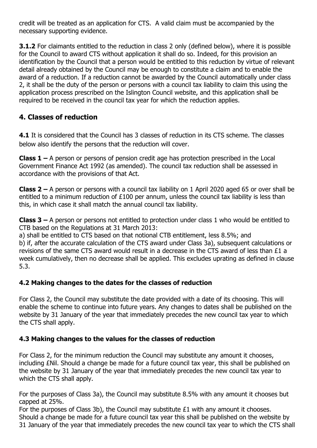credit will be treated as an application for CTS. A valid claim must be accompanied by the necessary supporting evidence.

**3.1.2** For claimants entitled to the reduction in class 2 only (defined below), where it is possible for the Council to award CTS without application it shall do so. Indeed, for this provision an identification by the Council that a person would be entitled to this reduction by virtue of relevant detail already obtained by the Council may be enough to constitute a claim and to enable the award of a reduction. If a reduction cannot be awarded by the Council automatically under class 2, it shall be the duty of the person or persons with a council tax liability to claim this using the application process prescribed on the Islington Council website, and this application shall be required to be received in the council tax year for which the reduction applies.

#### **4. Classes of reduction**

**4.1** It is considered that the Council has 3 classes of reduction in its CTS scheme. The classes below also identify the persons that the reduction will cover.

**Class 1 –** A person or persons of pension credit age has protection prescribed in the Local Government Finance Act 1992 (as amended). The council tax reduction shall be assessed in accordance with the provisions of that Act.

**Class 2 –** A person or persons with a council tax liability on 1 April 2020 aged 65 or over shall be entitled to a minimum reduction of £100 per annum, unless the council tax liability is less than this, in which case it shall match the annual council tax liability.

**Class 3 –** A person or persons not entitled to protection under class 1 who would be entitled to CTB based on the Regulations at 31 March 2013:

a) shall be entitled to CTS based on that notional CTB entitlement, less 8.5%; and b) if, after the accurate calculation of the CTS award under Class 3a), subsequent calculations or revisions of the same CTS award would result in a decrease in the CTS award of less than £1 a week cumulatively, then no decrease shall be applied. This excludes uprating as defined in clause  $5.3.$ 

#### **4.2 Making changes to the dates for the classes of reduction**

For Class 2, the Council may substitute the date provided with a date of its choosing. This will enable the scheme to continue into future years. Any changes to dates shall be published on the website by 31 January of the year that immediately precedes the new council tax year to which the CTS shall apply.

#### **4.3 Making changes to the values for the classes of reduction**

For Class 2, for the minimum reduction the Council may substitute any amount it chooses, including £Nil. Should a change be made for a future council tax year, this shall be published on the website by 31 January of the year that immediately precedes the new council tax year to which the CTS shall apply.

For the purposes of Class 3a), the Council may substitute 8.5% with any amount it chooses but capped at 25%.

For the purposes of Class 3b), the Council may substitute £1 with any amount it chooses. Should a change be made for a future council tax year this shall be published on the website by 31 January of the year that immediately precedes the new council tax year to which the CTS shall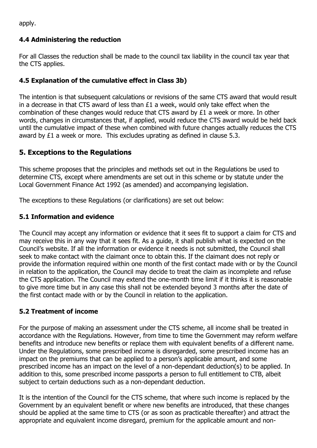apply.

#### **4.4 Administering the reduction**

For all Classes the reduction shall be made to the council tax liability in the council tax year that the CTS applies.

#### **4.5 Explanation of the cumulative effect in Class 3b)**

The intention is that subsequent calculations or revisions of the same CTS award that would result in a decrease in that CTS award of less than £1 a week, would only take effect when the combination of these changes would reduce that CTS award by £1 a week or more. In other words, changes in circumstances that, if applied, would reduce the CTS award would be held back until the cumulative impact of these when combined with future changes actually reduces the CTS award by  $£1$  a week or more. This excludes uprating as defined in clause  $5.3$ .

#### **5. Exceptions to the Regulations**

This scheme proposes that the principles and methods set out in the Regulations be used to determine CTS, except where amendments are set out in this scheme or by statute under the Local Government Finance Act 1992 (as amended) and accompanying legislation.

The exceptions to these Regulations (or clarifications) are set out below:

#### **5.1 Information and evidence**

The Council may accept any information or evidence that it sees fit to support a claim for CTS and may receive this in any way that it sees fit. As a guide, it shall publish what is expected on the Council's website. If all the information or evidence it needs is not submitted, the Council shall seek to make contact with the claimant once to obtain this. If the claimant does not reply or provide the information required within one month of the first contact made with or by the Council in relation to the application, the Council may decide to treat the claim as incomplete and refuse the CTS application. The Council may extend the one-month time limit if it thinks it is reasonable to give more time but in any case this shall not be extended beyond 3 months after the date of the first contact made with or by the Council in relation to the application.

#### **5.2 Treatment of income**

For the purpose of making an assessment under the CTS scheme, all income shall be treated in accordance with the Regulations. However, from time to time the Government may reform welfare benefits and introduce new benefits or replace them with equivalent benefits of a different name. Under the Regulations, some prescribed income is disregarded, some prescribed income has an impact on the premiums that can be applied to a person's applicable amount, and some prescribed income has an impact on the level of a non-dependant deduction(s) to be applied. In addition to this, some prescribed income passports a person to full entitlement to CTB, albeit subject to certain deductions such as a non-dependant deduction.

It is the intention of the Council for the CTS scheme, that where such income is replaced by the Government by an equivalent benefit or where new benefits are introduced, that these changes should be applied at the same time to CTS (or as soon as practicable thereafter) and attract the appropriate and equivalent income disregard, premium for the applicable amount and non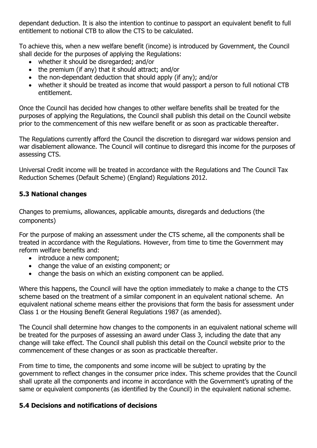dependant deduction. It is also the intention to continue to passport an equivalent benefit to full entitlement to notional CTB to allow the CTS to be calculated.

To achieve this, when a new welfare benefit (income) is introduced by Government, the Council shall decide for the purposes of applying the Regulations:

- whether it should be disregarded; and/or
- the premium (if any) that it should attract; and/or
- the non-dependant deduction that should apply (if any); and/or
- whether it should be treated as income that would passport a person to full notional CTB entitlement.

Once the Council has decided how changes to other welfare benefits shall be treated for the purposes of applying the Regulations, the Council shall publish this detail on the Council website prior to the commencement of this new welfare benefit or as soon as practicable thereafter.

The Regulations currently afford the Council the discretion to disregard war widows pension and war disablement allowance. The Council will continue to disregard this income for the purposes of assessing CTS.

Universal Credit income will be treated in accordance with the Regulations and The Council Tax Reduction Schemes (Default Scheme) (England) Regulations 2012.

#### **5.3 National changes**

Changes to premiums, allowances, applicable amounts, disregards and deductions (the components)

For the purpose of making an assessment under the CTS scheme, all the components shall be treated in accordance with the Regulations. However, from time to time the Government may reform welfare benefits and:

- introduce a new component:
- change the value of an existing component; or
- change the basis on which an existing component can be applied.

Where this happens, the Council will have the option immediately to make a change to the CTS scheme based on the treatment of a similar component in an equivalent national scheme. An equivalent national scheme means either the provisions that form the basis for assessment under Class 1 or the Housing Benefit General Regulations 1987 (as amended).

The Council shall determine how changes to the components in an equivalent national scheme will be treated for the purposes of assessing an award under Class 3, including the date that any change will take effect. The Council shall publish this detail on the Council website prior to the commencement of these changes or as soon as practicable thereafter.

From time to time, the components and some income will be subject to uprating by the government to reflect changes in the consumer price index. This scheme provides that the Council shall uprate all the components and income in accordance with the Government's uprating of the same or equivalent components (as identified by the Council) in the equivalent national scheme.

#### **5.4 Decisions and notifications of decisions**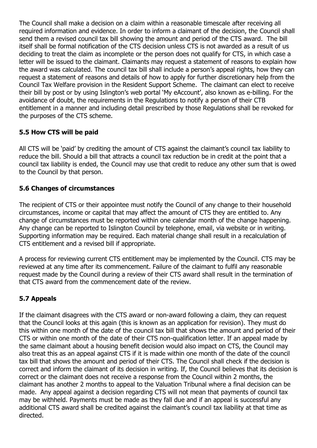The Council shall make a decision on a claim within a reasonable timescale after receiving all required information and evidence. In order to inform a claimant of the decision, the Council shall send them a revised council tax bill showing the amount and period of the CTS award. The bill itself shall be formal notification of the CTS decision unless CTS is not awarded as a result of us deciding to treat the claim as incomplete or the person does not qualify for CTS, in which case a letter will be issued to the claimant. Claimants may request a statement of reasons to explain how the award was calculated. The council tax bill shall include a person's appeal rights, how they can request a statement of reasons and details of how to apply for further discretionary help from the Council Tax Welfare provision in the Resident Support Scheme. The claimant can elect to receive their bill by post or by using Islington's web portal 'My eAccount', also known as e-billing. For the avoidance of doubt, the requirements in the Regulations to notify a person of their CTB entitlement in a manner and including detail prescribed by those Regulations shall be revoked for the purposes of the CTS scheme.

#### **5.5 How CTS will be paid**

All CTS will be 'paid' by crediting the amount of CTS against the claimant's council tax liability to reduce the bill. Should a bill that attracts a council tax reduction be in credit at the point that a council tax liability is ended, the Council may use that credit to reduce any other sum that is owed to the Council by that person.

#### **5.6 Changes of circumstances**

The recipient of CTS or their appointee must notify the Council of any change to their household circumstances, income or capital that may affect the amount of CTS they are entitled to. Any change of circumstances must be reported within one calendar month of the change happening. Any change can be reported to Islington Council by telephone, email, via website or in writing. Supporting information may be required. Each material change shall result in a recalculation of CTS entitlement and a revised bill if appropriate.

A process for reviewing current CTS entitlement may be implemented by the Council. CTS may be reviewed at any time after its commencement. Failure of the claimant to fulfil any reasonable request made by the Council during a review of their CTS award shall result in the termination of that CTS award from the commencement date of the review.

#### **5.7 Appeals**

If the claimant disagrees with the CTS award or non-award following a claim, they can request that the Council looks at this again (this is known as an application for revision). They must do this within one month of the date of the council tax bill that shows the amount and period of their CTS or within one month of the date of their CTS non-qualification letter. If an appeal made by the same claimant about a housing benefit decision would also impact on CTS, the Council may also treat this as an appeal against CTS if it is made within one month of the date of the council tax bill that shows the amount and period of their CTS. The Council shall check if the decision is correct and inform the claimant of its decision in writing. If, the Council believes that its decision is correct or the claimant does not receive a response from the Council within 2 months, the claimant has another 2 months to [appeal to the Valuation Tribunal where a final decision can be](http://www.valuationtribunal.gov.uk/A1Form.aspx)  [made.](http://www.valuationtribunal.gov.uk/A1Form.aspx) Any appeal against a decision regarding CTS will not mean that payments of council tax may be withheld. Payments must be made as they fall due and if an appeal is successful any additional CTS award shall be credited against the claimant's council tax liability at that time as directed.